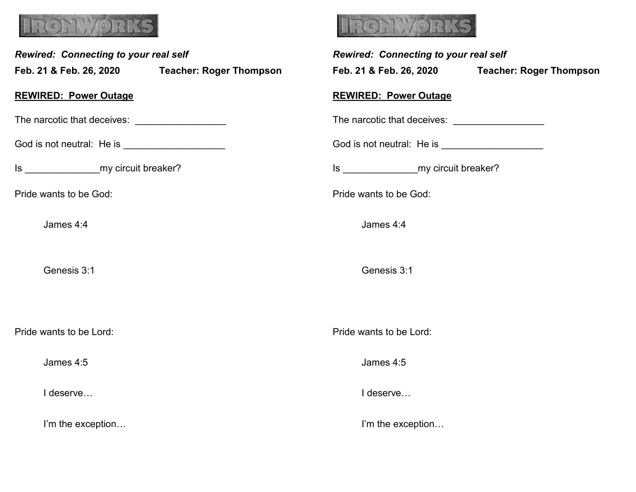

| Rewired: Connecting to your real self |                                                  | <b>Rewired: Connecting to your real self</b>               |
|---------------------------------------|--------------------------------------------------|------------------------------------------------------------|
|                                       | Feb. 21 & Feb. 26, 2020 Teacher: Roger Thompson  | Feb. 21 & Feb. 26, 2020 Teacher: Roger Thompson            |
|                                       | <b>REWIRED: Power Outage</b>                     | <b>REWIRED: Power Outage</b>                               |
|                                       |                                                  | The narcotic that deceives:<br>The narcotic that deceives: |
|                                       | God is not neutral: He is ______________________ |                                                            |
|                                       | Is _______________________my circuit breaker?    |                                                            |
|                                       | Pride wants to be God:                           | Pride wants to be God:                                     |
|                                       | James 4:4                                        | James 4:4                                                  |
|                                       | Genesis 3:1                                      | Genesis 3:1                                                |
|                                       | Pride wants to be Lord:                          | Pride wants to be Lord:                                    |
|                                       | James 4:5                                        | James 4:5                                                  |
|                                       | I deserve                                        | I deserve                                                  |
|                                       | I'm the exception                                | I'm the exception                                          |

**EXECYVIORE**